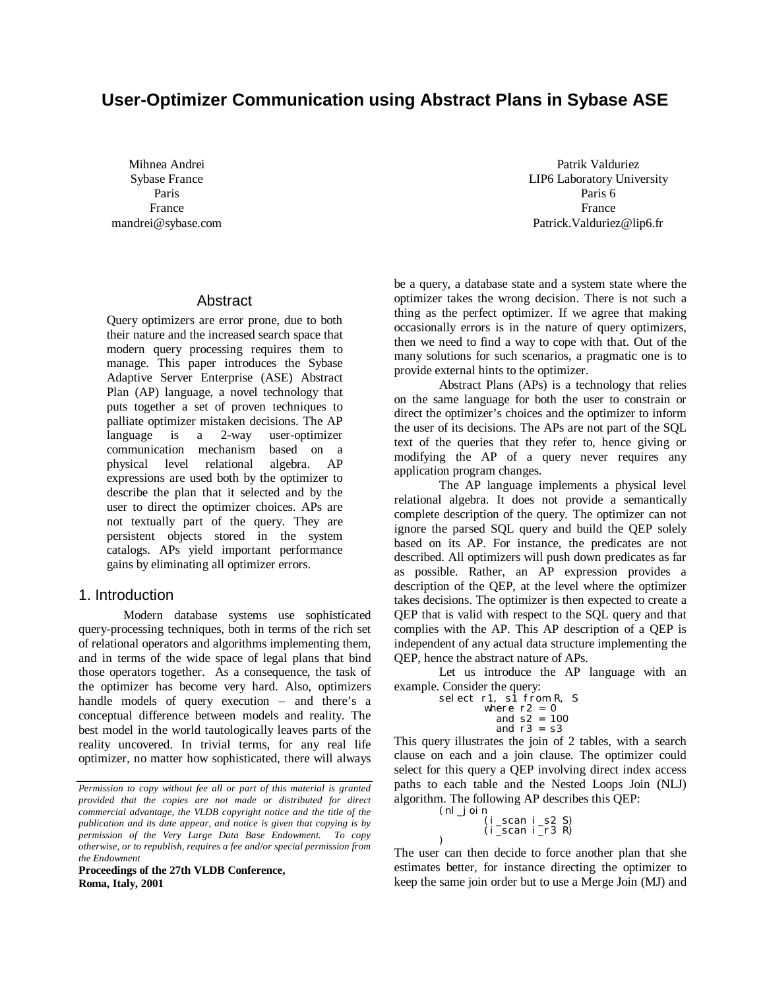# **User-Optimizer Communication using Abstract Plans in Sybase ASE**

Mihnea Andrei Sybase France Paris France mandrei@sybase.com

#### Abstract

Query optimizers are error prone, due to both their nature and the increased search space that modern query processing requires them to manage. This paper introduces the Sybase Adaptive Server Enterprise (ASE) Abstract Plan (AP) language, a novel technology that puts together a set of proven techniques to palliate optimizer mistaken decisions. The AP language is a 2-way user-optimizer communication mechanism based on a physical level relational algebra. AP expressions are used both by the optimizer to describe the plan that it selected and by the user to direct the optimizer choices. APs are not textually part of the query. They are persistent objects stored in the system catalogs. APs yield important performance gains by eliminating all optimizer errors.

#### 1. Introduction

Modern database systems use sophisticated query-processing techniques, both in terms of the rich set of relational operators and algorithms implementing them, and in terms of the wide space of legal plans that bind those operators together. As a consequence, the task of the optimizer has become very hard. Also, optimizers handle models of query execution – and there's a conceptual difference between models and reality. The best model in the world tautologically leaves parts of the reality uncovered. In trivial terms, for any real life optimizer, no matter how sophisticated, there will always

**Proceedings of the 27th VLDB Conference, Roma, Italy, 2001**

Patrik Valduriez LIP6 Laboratory University Paris 6 France Patrick.Valduriez@lip6.fr

be a query, a database state and a system state where the optimizer takes the wrong decision. There is not such a thing as the perfect optimizer. If we agree that making occasionally errors is in the nature of query optimizers, then we need to find a way to cope with that. Out of the many solutions for such scenarios, a pragmatic one is to provide external hints to the optimizer.

Abstract Plans (APs) is a technology that relies on the same language for both the user to constrain or direct the optimizer's choices and the optimizer to inform the user of its decisions. The APs are not part of the SQL text of the queries that they refer to, hence giving or modifying the AP of a query never requires any application program changes.

The AP language implements a physical level relational algebra. It does not provide a semantically complete description of the query. The optimizer can not ignore the parsed SQL query and build the QEP solely based on its AP. For instance, the predicates are not described. All optimizers will push down predicates as far as possible. Rather, an AP expression provides a description of the QEP, at the level where the optimizer takes decisions. The optimizer is then expected to create a QEP that is valid with respect to the SQL query and that complies with the AP. This AP description of a QEP is independent of any actual data structure implementing the QEP, hence the abstract nature of APs.

Let us introduce the AP language with an example. Consider the query:

> select  $r1$ ,  $s1$  from R, S where r2 = 0 and s2 = 100 and  $r3 = s3$

This query illustrates the join of 2 tables, with a search clause on each and a join clause. The optimizer could select for this query a QEP involving direct index access paths to each table and the Nested Loops Join (NLJ) algorithm. The following AP describes this QEP:  $(nl \, i)$ 

$$
\begin{array}{c}\n\text{Join} \\
\text{(i\_scan i\_s2 S)} \\
\text{(i\_scan i\_r3 R)}\n\end{array}
$$

)

The user can then decide to force another plan that she estimates better, for instance directing the optimizer to keep the same join order but to use a Merge Join (MJ) and

*Permission to copy without fee all or part of this material is granted provided that the copies are not made or distributed for direct commercial advantage, the VLDB copyright notice and the title of the publication and its date appear, and notice is given that copying is by permission of the Very Large Data Base Endowment. To copy otherwise, or to republish, requires a fee and/or special permission from the Endowment*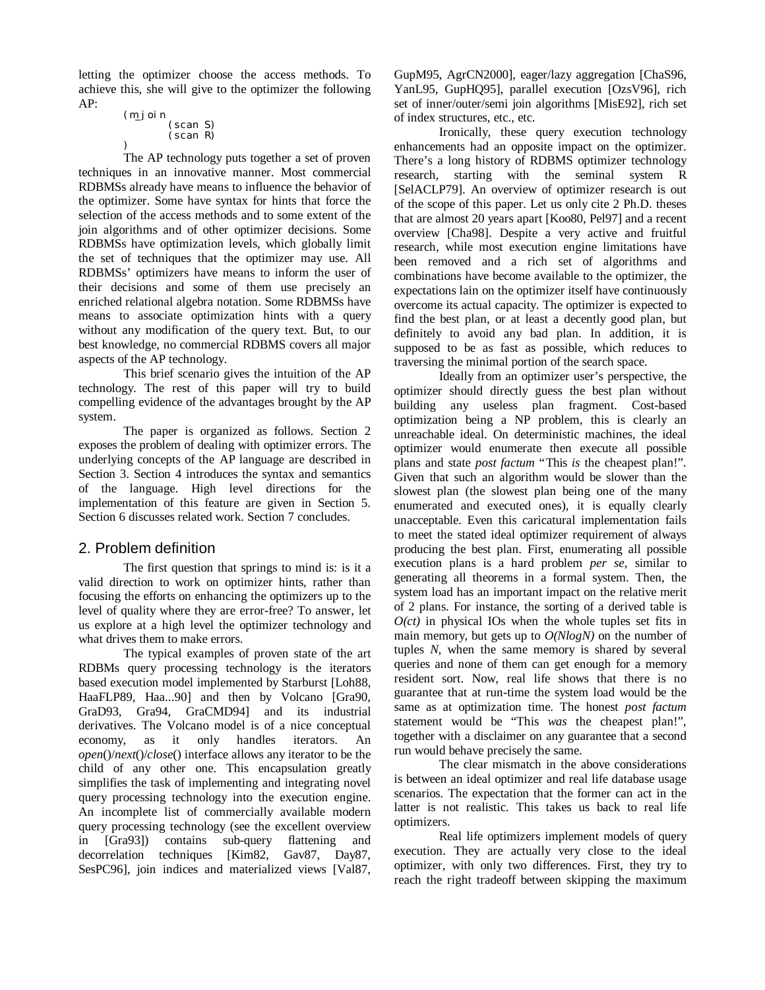letting the optimizer choose the access methods. To achieve this, she will give to the optimizer the following AP:

```
(m_join
(scan S)
       (scan R)
```
) The AP technology puts together a set of proven techniques in an innovative manner. Most commercial RDBMSs already have means to influence the behavior of the optimizer. Some have syntax for hints that force the selection of the access methods and to some extent of the join algorithms and of other optimizer decisions. Some RDBMSs have optimization levels, which globally limit the set of techniques that the optimizer may use. All RDBMSs' optimizers have means to inform the user of their decisions and some of them use precisely an enriched relational algebra notation. Some RDBMSs have means to associate optimization hints with a query without any modification of the query text. But, to our best knowledge, no commercial RDBMS covers all major aspects of the AP technology.

This brief scenario gives the intuition of the AP technology. The rest of this paper will try to build compelling evidence of the advantages brought by the AP system.

The paper is organized as follows. Section 2 exposes the problem of dealing with optimizer errors. The underlying concepts of the AP language are described in Section 3. Section 4 introduces the syntax and semantics of the language. High level directions for the implementation of this feature are given in Section 5. Section 6 discusses related work. Section 7 concludes.

# 2. Problem definition

The first question that springs to mind is: is it a valid direction to work on optimizer hints, rather than focusing the efforts on enhancing the optimizers up to the level of quality where they are error-free? To answer, let us explore at a high level the optimizer technology and what drives them to make errors.

The typical examples of proven state of the art RDBMs query processing technology is the iterators based execution model implemented by Starburst [Loh88, HaaFLP89, Haa...90] and then by Volcano [Gra90, GraD93, Gra94, GraCMD94] and its industrial derivatives. The Volcano model is of a nice conceptual economy, as it only handles iterators. An *open*()/*next*()/*close*() interface allows any iterator to be the child of any other one. This encapsulation greatly simplifies the task of implementing and integrating novel query processing technology into the execution engine. An incomplete list of commercially available modern query processing technology (see the excellent overview in [Gra93]) contains sub-query flattening and decorrelation techniques [Kim82, Gav87, Day87, SesPC96], join indices and materialized views [Val87,

GupM95, AgrCN2000], eager/lazy aggregation [ChaS96, YanL95, GupHQ95], parallel execution [OzsV96], rich set of inner/outer/semi join algorithms [MisE92], rich set of index structures, etc., etc.

Ironically, these query execution technology enhancements had an opposite impact on the optimizer. There's a long history of RDBMS optimizer technology research, starting with the seminal system R [SelACLP79]. An overview of optimizer research is out of the scope of this paper. Let us only cite 2 Ph.D. theses that are almost 20 years apart [Koo80, Pel97] and a recent overview [Cha98]. Despite a very active and fruitful research, while most execution engine limitations have been removed and a rich set of algorithms and combinations have become available to the optimizer, the expectations lain on the optimizer itself have continuously overcome its actual capacity. The optimizer is expected to find the best plan, or at least a decently good plan, but definitely to avoid any bad plan. In addition, it is supposed to be as fast as possible, which reduces to traversing the minimal portion of the search space.

Ideally from an optimizer user's perspective, the optimizer should directly guess the best plan without building any useless plan fragment. Cost-based optimization being a NP problem, this is clearly an unreachable ideal. On deterministic machines, the ideal optimizer would enumerate then execute all possible plans and state *post factum* "This *is* the cheapest plan!". Given that such an algorithm would be slower than the slowest plan (the slowest plan being one of the many enumerated and executed ones), it is equally clearly unacceptable. Even this caricatural implementation fails to meet the stated ideal optimizer requirement of always producing the best plan. First, enumerating all possible execution plans is a hard problem *per se*, similar to generating all theorems in a formal system. Then, the system load has an important impact on the relative merit of 2 plans. For instance, the sorting of a derived table is *O(ct)* in physical IOs when the whole tuples set fits in main memory, but gets up to *O(NlogN)* on the number of tuples *N*, when the same memory is shared by several queries and none of them can get enough for a memory resident sort. Now, real life shows that there is no guarantee that at run-time the system load would be the same as at optimization time. The honest *post factum* statement would be "This *was* the cheapest plan!", together with a disclaimer on any guarantee that a second run would behave precisely the same.

The clear mismatch in the above considerations is between an ideal optimizer and real life database usage scenarios. The expectation that the former can act in the latter is not realistic. This takes us back to real life optimizers.

Real life optimizers implement models of query execution. They are actually very close to the ideal optimizer, with only two differences. First, they try to reach the right tradeoff between skipping the maximum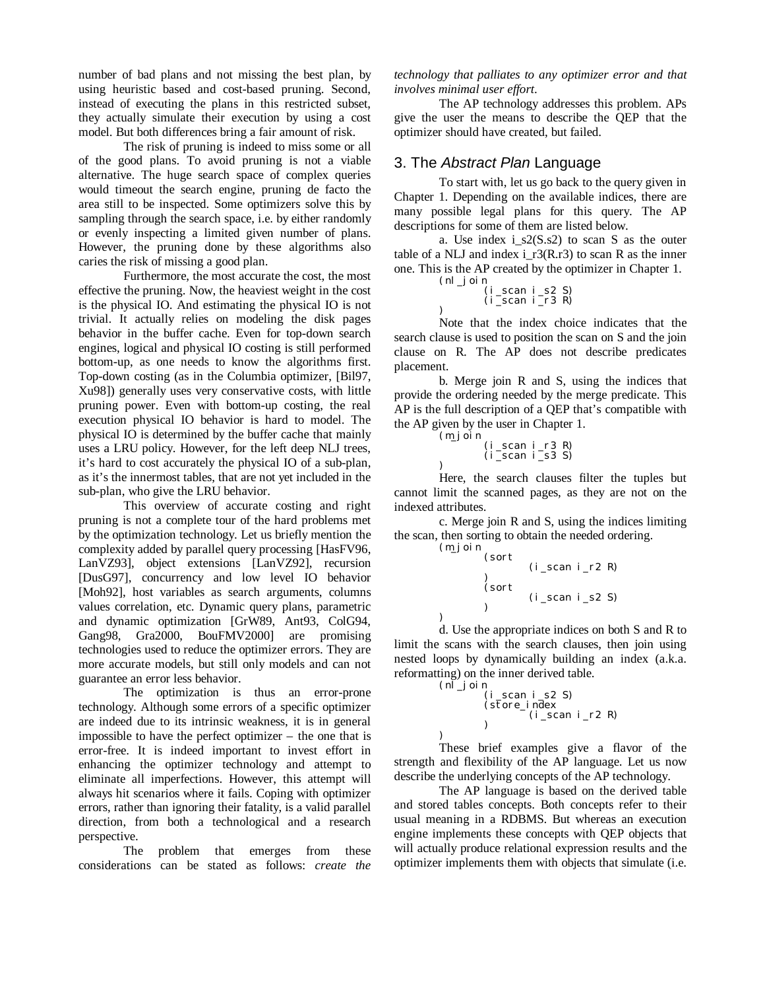number of bad plans and not missing the best plan, by using heuristic based and cost-based pruning. Second, instead of executing the plans in this restricted subset, they actually simulate their execution by using a cost model. But both differences bring a fair amount of risk.

The risk of pruning is indeed to miss some or all of the good plans. To avoid pruning is not a viable alternative. The huge search space of complex queries would timeout the search engine, pruning de facto the area still to be inspected. Some optimizers solve this by sampling through the search space, i.e. by either randomly or evenly inspecting a limited given number of plans. However, the pruning done by these algorithms also caries the risk of missing a good plan.

Furthermore, the most accurate the cost, the most effective the pruning. Now, the heaviest weight in the cost is the physical IO. And estimating the physical IO is not trivial. It actually relies on modeling the disk pages behavior in the buffer cache. Even for top-down search engines, logical and physical IO costing is still performed bottom-up, as one needs to know the algorithms first. Top-down costing (as in the Columbia optimizer, [Bil97, Xu98]) generally uses very conservative costs, with little pruning power. Even with bottom-up costing, the real execution physical IO behavior is hard to model. The physical IO is determined by the buffer cache that mainly uses a LRU policy. However, for the left deep NLJ trees, it's hard to cost accurately the physical IO of a sub-plan, as it's the innermost tables, that are not yet included in the sub-plan, who give the LRU behavior.

This overview of accurate costing and right pruning is not a complete tour of the hard problems met by the optimization technology. Let us briefly mention the complexity added by parallel query processing [HasFV96, LanVZ93], object extensions [LanVZ92], recursion [DusG97], concurrency and low level IO behavior [Moh92], host variables as search arguments, columns values correlation, etc. Dynamic query plans, parametric and dynamic optimization [GrW89, Ant93, ColG94, Gang98, Gra2000, BouFMV2000] are promising technologies used to reduce the optimizer errors. They are more accurate models, but still only models and can not guarantee an error less behavior.

The optimization is thus an error-prone technology. Although some errors of a specific optimizer are indeed due to its intrinsic weakness, it is in general impossible to have the perfect optimizer – the one that is error-free. It is indeed important to invest effort in enhancing the optimizer technology and attempt to eliminate all imperfections. However, this attempt will always hit scenarios where it fails. Coping with optimizer errors, rather than ignoring their fatality, is a valid parallel direction, from both a technological and a research perspective.

The problem that emerges from these considerations can be stated as follows: *create the* *technology that palliates to any optimizer error and that involves minimal user effort*.

The AP technology addresses this problem. APs give the user the means to describe the QEP that the optimizer should have created, but failed.

#### 3. The *Abstract Plan* Language

To start with, let us go back to the query given in Chapter 1. Depending on the available indices, there are many possible legal plans for this query. The AP descriptions for some of them are listed below.

a. Use index  $i_s2(S.s2)$  to scan S as the outer table of a NLJ and index i  $r3(R.r3)$  to scan R as the inner one. This is the AP created by the optimizer in Chapter 1.

 $(1, 2, 3)$ 

$$
(\text{nl}_j \text{oin})
$$

)

 $\lambda$ 

)

)

$$
\begin{array}{c}\n(1\_scan 1\_sz 3) \\
(i\_scan i\_r3 R)\n\end{array}
$$

Note that the index choice indicates that the search clause is used to position the scan on S and the join clause on R. The AP does not describe predicates placement.

b. Merge join R and S, using the indices that provide the ordering needed by the merge predicate. This AP is the full description of a QEP that's compatible with the AP given by the user in Chapter 1.

$$
\begin{array}{c}\n(m\text{-}join \\
(i\text{-}scan i\text{-}r3 R) \\
(i\text{-}scan i\text{-}s3 S)\n\end{array}
$$

Here, the search clauses filter the tuples but cannot limit the scanned pages, as they are not on the indexed attributes.

c. Merge join R and S, using the indices limiting the scan, then sorting to obtain the needed ordering.

```
(m_join
         (sort
                  (i_{scra} i_{r2} R))
(sort
                  (i_scan i_s2 S))
```
d. Use the appropriate indices on both S and R to limit the scans with the search clauses, then join using nested loops by dynamically building an index (a.k.a. reformatting) on the inner derived table.

```
(n\bar{l}_j) oi n
         (i_scan i_s2 S)(store_index
                  (i_scan i_r2 R)
         )
```
These brief examples give a flavor of the strength and flexibility of the AP language. Let us now describe the underlying concepts of the AP technology.

The AP language is based on the derived table and stored tables concepts. Both concepts refer to their usual meaning in a RDBMS. But whereas an execution engine implements these concepts with QEP objects that will actually produce relational expression results and the optimizer implements them with objects that simulate (i.e.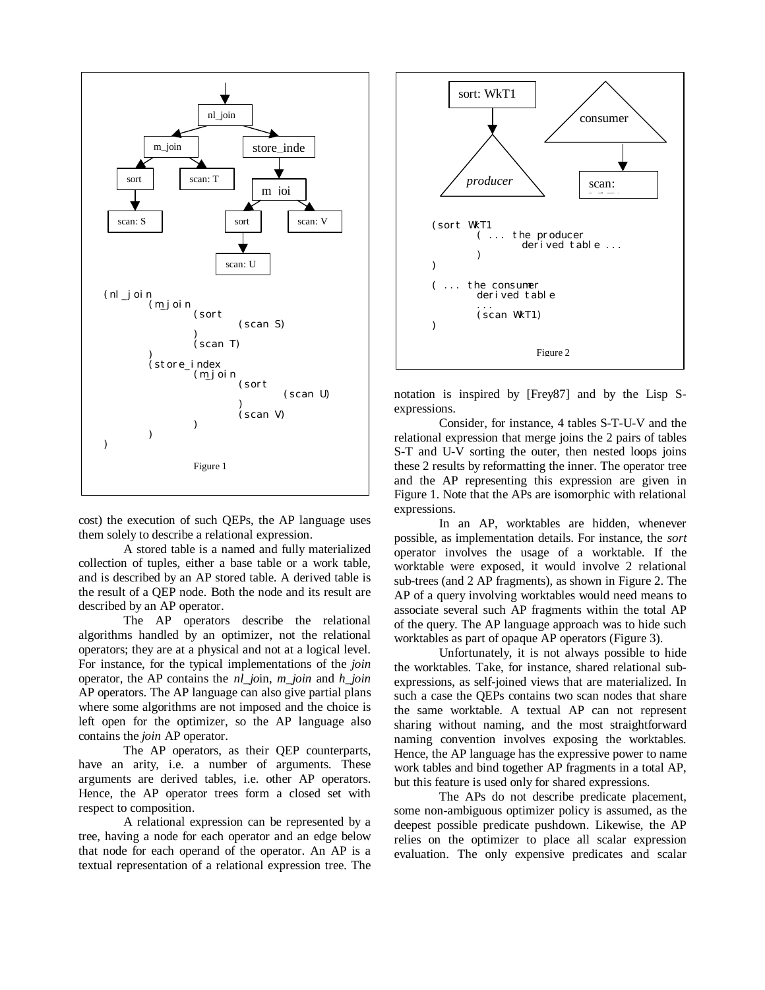

cost) the execution of such QEPs, the AP language uses them solely to describe a relational expression.

A stored table is a named and fully materialized collection of tuples, either a base table or a work table, and is described by an AP stored table. A derived table is the result of a QEP node. Both the node and its result are described by an AP operator.

The AP operators describe the relational algorithms handled by an optimizer, not the relational operators; they are at a physical and not at a logical level. For instance, for the typical implementations of the *join* operator, the AP contains the *nl\_jo*in, *m\_join* and *h\_join* AP operators. The AP language can also give partial plans where some algorithms are not imposed and the choice is left open for the optimizer, so the AP language also contains the *join* AP operator.

The AP operators, as their QEP counterparts, have an arity, i.e. a number of arguments. These arguments are derived tables, i.e. other AP operators. Hence, the AP operator trees form a closed set with respect to composition.

A relational expression can be represented by a tree, having a node for each operator and an edge below that node for each operand of the operator. An AP is a textual representation of a relational expression tree. The



notation is inspired by [Frey87] and by the Lisp Sexpressions.

Consider, for instance, 4 tables S-T-U-V and the relational expression that merge joins the 2 pairs of tables S-T and U-V sorting the outer, then nested loops joins these 2 results by reformatting the inner. The operator tree and the AP representing this expression are given in Figure 1. Note that the APs are isomorphic with relational expressions.

In an AP, worktables are hidden, whenever possible, as implementation details. For instance, the *sort* operator involves the usage of a worktable. If the worktable were exposed, it would involve 2 relational sub-trees (and 2 AP fragments), as shown in Figure 2. The AP of a query involving worktables would need means to associate several such AP fragments within the total AP of the query. The AP language approach was to hide such worktables as part of opaque AP operators (Figure 3).

Unfortunately, it is not always possible to hide the worktables. Take, for instance, shared relational subexpressions, as self-joined views that are materialized. In such a case the QEPs contains two scan nodes that share the same worktable. A textual AP can not represent sharing without naming, and the most straightforward naming convention involves exposing the worktables. Hence, the AP language has the expressive power to name work tables and bind together AP fragments in a total AP, but this feature is used only for shared expressions.

The APs do not describe predicate placement, some non-ambiguous optimizer policy is assumed, as the deepest possible predicate pushdown. Likewise, the AP relies on the optimizer to place all scalar expression evaluation. The only expensive predicates and scalar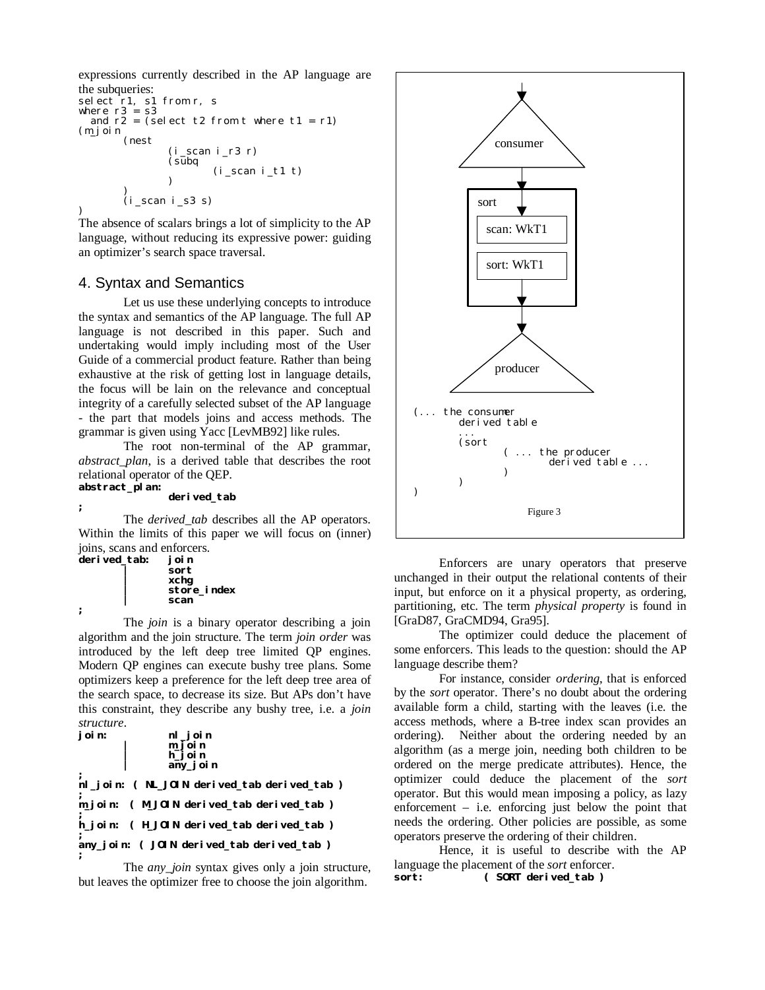expressions currently described in the AP language are the subqueries:

```
selfect r1, s1 from r, s
where r3 = s3and r2 = (select t2 from t where t1 = r1)(m_join
        (nest
                 (i_scan i_r3 r)\zetasubq
                         (i_scan i_t1 t)\lambda)
(i_scan i_s3 s)
)
```
The absence of scalars brings a lot of simplicity to the AP language, without reducing its expressive power: guiding an optimizer's search space traversal.

### 4. Syntax and Semantics

Let us use these underlying concepts to introduce the syntax and semantics of the AP language. The full AP language is not described in this paper. Such and undertaking would imply including most of the User Guide of a commercial product feature. Rather than being exhaustive at the risk of getting lost in language details, the focus will be lain on the relevance and conceptual integrity of a carefully selected subset of the AP language - the part that models joins and access methods. The grammar is given using Yacc [LevMB92] like rules.

The root non-terminal of the AP grammar, *abstract\_plan*, is a derived table that describes the root relational operator of the QEP.

#### **abstract\_plan:**

**;**

### **derived\_tab**

The *derived\_tab* describes all the AP operators. Within the limits of this paper we will focus on (inner) joins, scans and enforcers.

```
derived_tab: join
                  | sort
                  | xchg
                  | store_index
                  | scan
;
```
The *join* is a binary operator describing a join algorithm and the join structure. The term *join order* was introduced by the left deep tree limited QP engines. Modern QP engines can execute bushy tree plans. Some optimizers keep a preference for the left deep tree area of the search space, to decrease its size. But APs don't have this constraint, they describe any bushy tree, i.e. a *join structure*.

```
join: nl_join
        | m_join
| h_join
               | any_join
;
nl_join: ( NL_JOIN derived_tab derived_tab )
;
m_join: ( M_JOIN derived_tab derived_tab )
;
h_join: ( H_JOIN derived_tab derived_tab )
;
any_join: ( JOIN derived_tab derived_tab )
;
```
The *any* join syntax gives only a join structure, but leaves the optimizer free to choose the join algorithm.



Enforcers are unary operators that preserve unchanged in their output the relational contents of their input, but enforce on it a physical property, as ordering, partitioning, etc. The term *physical property* is found in [GraD87, GraCMD94, Gra95].

The optimizer could deduce the placement of some enforcers. This leads to the question: should the AP language describe them?

For instance, consider *ordering*, that is enforced by the *sort* operator. There's no doubt about the ordering available form a child, starting with the leaves (i.e. the access methods, where a B-tree index scan provides an ordering). Neither about the ordering needed by an algorithm (as a merge join, needing both children to be ordered on the merge predicate attributes). Hence, the optimizer could deduce the placement of the *sort* operator. But this would mean imposing a policy, as lazy enforcement – i.e. enforcing just below the point that needs the ordering. Other policies are possible, as some operators preserve the ordering of their children.

Hence, it is useful to describe with the AP language the placement of the *sort* enforcer. **sort: ( SORT derived\_tab )**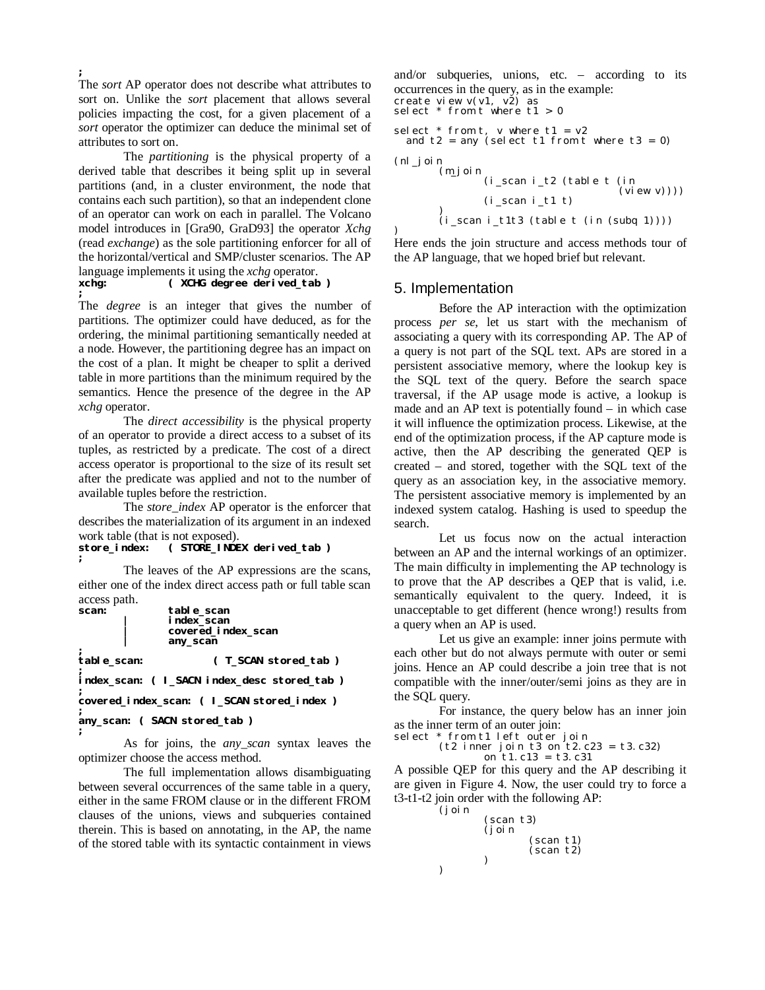**;** The *sort* AP operator does not describe what attributes to sort on. Unlike the *sort* placement that allows several policies impacting the cost, for a given placement of a *sort* operator the optimizer can deduce the minimal set of attributes to sort on.

The *partitioning* is the physical property of a derived table that describes it being split up in several partitions (and, in a cluster environment, the node that contains each such partition), so that an independent clone of an operator can work on each in parallel. The Volcano model introduces in [Gra90, GraD93] the operator *Xchg* (read *exchange*) as the sole partitioning enforcer for all of the horizontal/vertical and SMP/cluster scenarios. The AP language implements it using the *xchg* operator.

#### **xchg: ( XCHG degree derived\_tab ) ;**

The *degree* is an integer that gives the number of partitions. The optimizer could have deduced, as for the ordering, the minimal partitioning semantically needed at a node. However, the partitioning degree has an impact on the cost of a plan. It might be cheaper to split a derived table in more partitions than the minimum required by the semantics. Hence the presence of the degree in the AP *xchg* operator.

The *direct accessibility* is the physical property of an operator to provide a direct access to a subset of its tuples, as restricted by a predicate. The cost of a direct access operator is proportional to the size of its result set after the predicate was applied and not to the number of available tuples before the restriction.

The *store\_index* AP operator is the enforcer that describes the materialization of its argument in an indexed work table (that is not exposed).<br>store\_index: (STORE\_INDE

```
store_index: ( STORE_INDEX derived_tab )
;
```
The leaves of the AP expressions are the scans, either one of the index direct access path or full table scan access path.<br>scan:

```
scan: table_scan
                | index_scan
                | covered_index_scan
                | any_scan
;
                         table_scan: ( T_SCAN stored_tab )
;
index_scan: ( I_SACN index_desc stored_tab )
;
covered_index_scan: ( I_SCAN stored_index )
;
any_scan: ( SACN stored_tab )
;
```
As for joins, the *any\_scan* syntax leaves the optimizer choose the access method.

The full implementation allows disambiguating between several occurrences of the same table in a query, either in the same FROM clause or in the different FROM clauses of the unions, views and subqueries contained therein. This is based on annotating, in the AP, the name of the stored table with its syntactic containment in views

and/or subqueries, unions, etc. – according to its occurrences in the query, as in the example: create view v(v1, v2) as select \* from t where t1 > 0 select  $*$  from t, v where t1 =  $v2$ and  $t2 = any$  (select  $t1$  from t where  $t3 = 0$ ) (nl\_join (m\_join (i\_scan i\_t2 (table t (in  $(yiew v)))$  $(i_scan i_t1 t)$ ) (i\_scan i\_t1t3 (table t (in (subq 1))))

) Here ends the join structure and access methods tour of the AP language, that we hoped brief but relevant.

#### 5. Implementation

Before the AP interaction with the optimization process *per se*, let us start with the mechanism of associating a query with its corresponding AP. The AP of a query is not part of the SQL text. APs are stored in a persistent associative memory, where the lookup key is the SQL text of the query. Before the search space traversal, if the AP usage mode is active, a lookup is made and an AP text is potentially found – in which case it will influence the optimization process. Likewise, at the end of the optimization process, if the AP capture mode is active, then the AP describing the generated QEP is created – and stored, together with the SQL text of the query as an association key, in the associative memory. The persistent associative memory is implemented by an indexed system catalog. Hashing is used to speedup the search.

Let us focus now on the actual interaction between an AP and the internal workings of an optimizer. The main difficulty in implementing the AP technology is to prove that the AP describes a QEP that is valid, i.e. semantically equivalent to the query. Indeed, it is unacceptable to get different (hence wrong!) results from a query when an AP is used.

Let us give an example: inner joins permute with each other but do not always permute with outer or semi joins. Hence an AP could describe a join tree that is not compatible with the inner/outer/semi joins as they are in the SQL query.

For instance, the query below has an inner join as the inner term of an outer join:

select \* from t1 left outer join

)

 $(t2 \text{ inner join } t3 \text{ on } t2. c23 = t3. c32)$ on t1.c13 = t3.c31

A possible QEP for this query and the AP describing it are given in Figure 4. Now, the user could try to force a t3-t1-t2 join order with the following AP:

```
(join
        (scan t3)(join
                 (scan t1)
                 (scan t2)
        )
```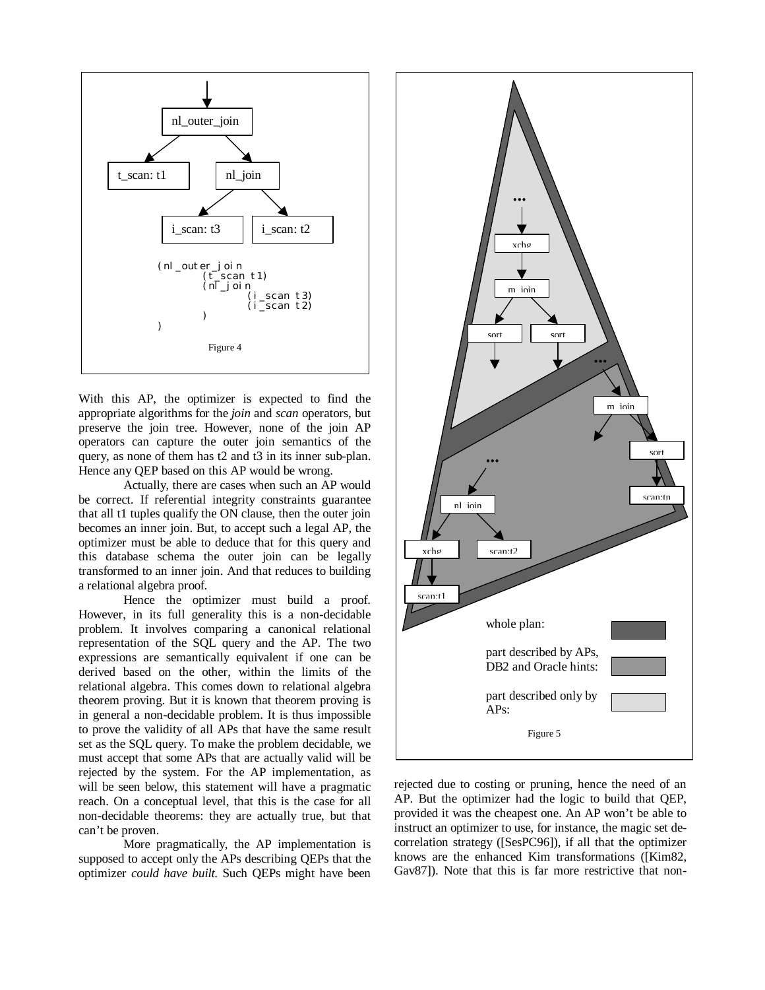

With this AP, the optimizer is expected to find the appropriate algorithms for the *join* and *scan* operators, but preserve the join tree. However, none of the join AP operators can capture the outer join semantics of the query, as none of them has t2 and t3 in its inner sub-plan. Hence any QEP based on this AP would be wrong.

Actually, there are cases when such an AP would be correct. If referential integrity constraints guarantee that all t1 tuples qualify the ON clause, then the outer join becomes an inner join. But, to accept such a legal AP, the optimizer must be able to deduce that for this query and this database schema the outer join can be legally transformed to an inner join. And that reduces to building a relational algebra proof.

Hence the optimizer must build a proof. However, in its full generality this is a non-decidable problem. It involves comparing a canonical relational representation of the SQL query and the AP. The two expressions are semantically equivalent if one can be derived based on the other, within the limits of the relational algebra. This comes down to relational algebra theorem proving. But it is known that theorem proving is in general a non-decidable problem. It is thus impossible to prove the validity of all APs that have the same result set as the SQL query. To make the problem decidable, we must accept that some APs that are actually valid will be rejected by the system. For the AP implementation, as will be seen below, this statement will have a pragmatic reach. On a conceptual level, that this is the case for all non-decidable theorems: they are actually true, but that can't be proven.

More pragmatically, the AP implementation is supposed to accept only the APs describing QEPs that the optimizer *could have built*. Such QEPs might have been



rejected due to costing or pruning, hence the need of an AP. But the optimizer had the logic to build that QEP, provided it was the cheapest one. An AP won't be able to instruct an optimizer to use, for instance, the magic set decorrelation strategy ([SesPC96]), if all that the optimizer knows are the enhanced Kim transformations ([Kim82, Gav87]). Note that this is far more restrictive that non-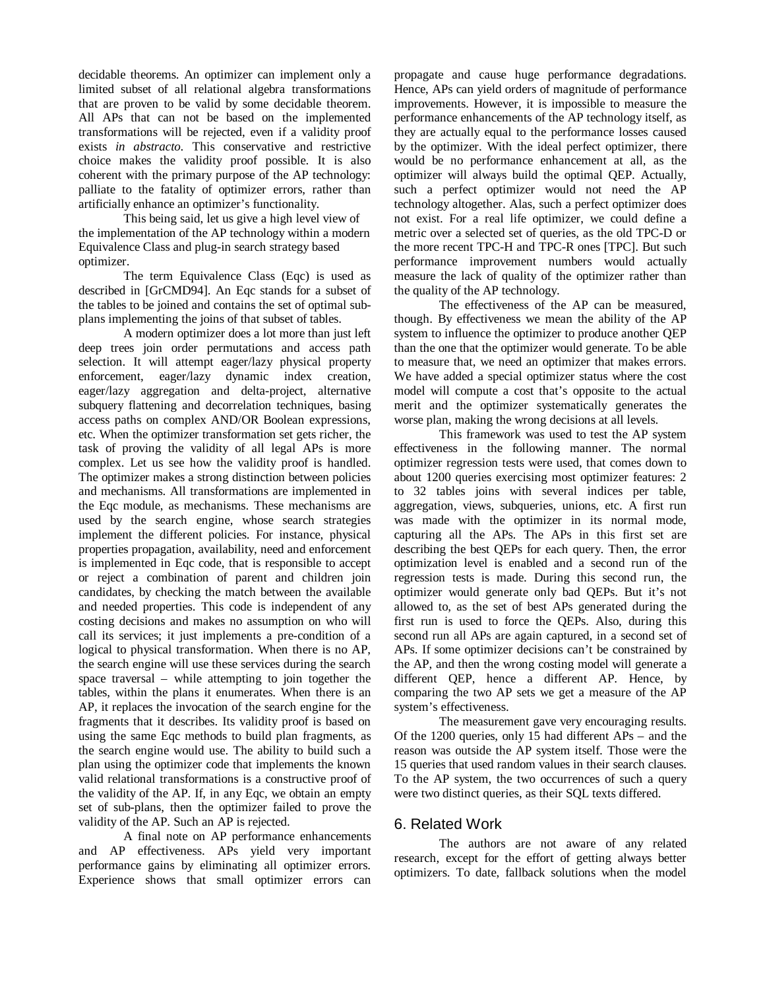decidable theorems. An optimizer can implement only a limited subset of all relational algebra transformations that are proven to be valid by some decidable theorem. All APs that can not be based on the implemented transformations will be rejected, even if a validity proof exists *in abstracto*. This conservative and restrictive choice makes the validity proof possible. It is also coherent with the primary purpose of the AP technology: palliate to the fatality of optimizer errors, rather than artificially enhance an optimizer's functionality.

This being said, let us give a high level view of the implementation of the AP technology within a modern Equivalence Class and plug-in search strategy based optimizer.

The term Equivalence Class (Eqc) is used as described in [GrCMD94]. An Eqc stands for a subset of the tables to be joined and contains the set of optimal subplans implementing the joins of that subset of tables.

A modern optimizer does a lot more than just left deep trees join order permutations and access path selection. It will attempt eager/lazy physical property enforcement, eager/lazy dynamic index creation, eager/lazy aggregation and delta-project, alternative subquery flattening and decorrelation techniques, basing access paths on complex AND/OR Boolean expressions, etc. When the optimizer transformation set gets richer, the task of proving the validity of all legal APs is more complex. Let us see how the validity proof is handled. The optimizer makes a strong distinction between policies and mechanisms. All transformations are implemented in the Eqc module, as mechanisms. These mechanisms are used by the search engine, whose search strategies implement the different policies. For instance, physical properties propagation, availability, need and enforcement is implemented in Eqc code, that is responsible to accept or reject a combination of parent and children join candidates, by checking the match between the available and needed properties. This code is independent of any costing decisions and makes no assumption on who will call its services; it just implements a pre-condition of a logical to physical transformation. When there is no AP, the search engine will use these services during the search space traversal – while attempting to join together the tables, within the plans it enumerates. When there is an AP, it replaces the invocation of the search engine for the fragments that it describes. Its validity proof is based on using the same Eqc methods to build plan fragments, as the search engine would use. The ability to build such a plan using the optimizer code that implements the known valid relational transformations is a constructive proof of the validity of the AP. If, in any Eqc, we obtain an empty set of sub-plans, then the optimizer failed to prove the validity of the AP. Such an AP is rejected.

A final note on AP performance enhancements and AP effectiveness. APs yield very important performance gains by eliminating all optimizer errors. Experience shows that small optimizer errors can

propagate and cause huge performance degradations. Hence, APs can yield orders of magnitude of performance improvements. However, it is impossible to measure the performance enhancements of the AP technology itself, as they are actually equal to the performance losses caused by the optimizer. With the ideal perfect optimizer, there would be no performance enhancement at all, as the optimizer will always build the optimal QEP. Actually, such a perfect optimizer would not need the AP technology altogether. Alas, such a perfect optimizer does not exist. For a real life optimizer, we could define a metric over a selected set of queries, as the old TPC-D or the more recent TPC-H and TPC-R ones [TPC]. But such performance improvement numbers would actually measure the lack of quality of the optimizer rather than the quality of the AP technology.

The effectiveness of the AP can be measured, though. By effectiveness we mean the ability of the AP system to influence the optimizer to produce another QEP than the one that the optimizer would generate. To be able to measure that, we need an optimizer that makes errors. We have added a special optimizer status where the cost model will compute a cost that's opposite to the actual merit and the optimizer systematically generates the worse plan, making the wrong decisions at all levels.

This framework was used to test the AP system effectiveness in the following manner. The normal optimizer regression tests were used, that comes down to about 1200 queries exercising most optimizer features: 2 to 32 tables joins with several indices per table, aggregation, views, subqueries, unions, etc. A first run was made with the optimizer in its normal mode, capturing all the APs. The APs in this first set are describing the best QEPs for each query. Then, the error optimization level is enabled and a second run of the regression tests is made. During this second run, the optimizer would generate only bad QEPs. But it's not allowed to, as the set of best APs generated during the first run is used to force the QEPs. Also, during this second run all APs are again captured, in a second set of APs. If some optimizer decisions can't be constrained by the AP, and then the wrong costing model will generate a different QEP, hence a different AP. Hence, by comparing the two AP sets we get a measure of the AP system's effectiveness.

The measurement gave very encouraging results. Of the 1200 queries, only 15 had different APs – and the reason was outside the AP system itself. Those were the 15 queries that used random values in their search clauses. To the AP system, the two occurrences of such a query were two distinct queries, as their SQL texts differed.

#### 6. Related Work

The authors are not aware of any related research, except for the effort of getting always better optimizers. To date, fallback solutions when the model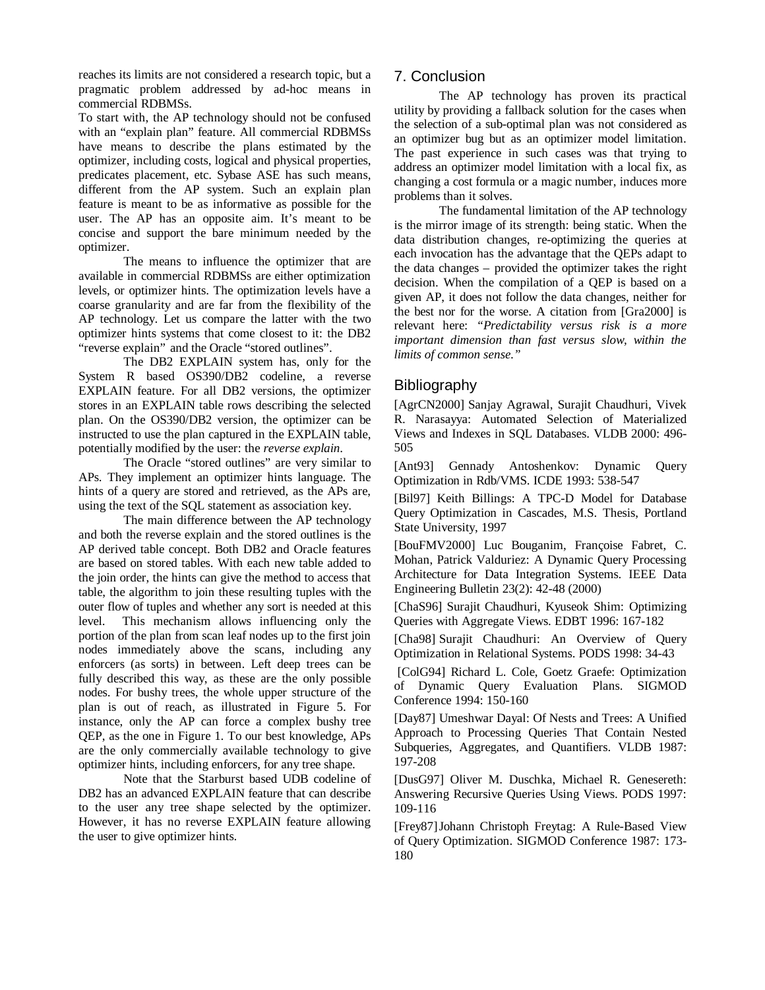reaches its limits are not considered a research topic, but a pragmatic problem addressed by ad-hoc means in commercial RDBMSs.

To start with, the AP technology should not be confused with an "explain plan" feature. All commercial RDBMSs have means to describe the plans estimated by the optimizer, including costs, logical and physical properties, predicates placement, etc. Sybase ASE has such means, different from the AP system. Such an explain plan feature is meant to be as informative as possible for the user. The AP has an opposite aim. It's meant to be concise and support the bare minimum needed by the optimizer.

The means to influence the optimizer that are available in commercial RDBMSs are either optimization levels, or optimizer hints. The optimization levels have a coarse granularity and are far from the flexibility of the AP technology. Let us compare the latter with the two optimizer hints systems that come closest to it: the DB2 "reverse explain" and the Oracle "stored outlines".

The DB2 EXPLAIN system has, only for the System R based OS390/DB2 codeline, a reverse EXPLAIN feature. For all DB2 versions, the optimizer stores in an EXPLAIN table rows describing the selected plan. On the OS390/DB2 version, the optimizer can be instructed to use the plan captured in the EXPLAIN table, potentially modified by the user: the *reverse explain*.

The Oracle "stored outlines" are very similar to APs. They implement an optimizer hints language. The hints of a query are stored and retrieved, as the APs are, using the text of the SQL statement as association key.

The main difference between the AP technology and both the reverse explain and the stored outlines is the AP derived table concept. Both DB2 and Oracle features are based on stored tables. With each new table added to the join order, the hints can give the method to access that table, the algorithm to join these resulting tuples with the outer flow of tuples and whether any sort is needed at this level. This mechanism allows influencing only the portion of the plan from scan leaf nodes up to the first join nodes immediately above the scans, including any enforcers (as sorts) in between. Left deep trees can be fully described this way, as these are the only possible nodes. For bushy trees, the whole upper structure of the plan is out of reach, as illustrated in Figure 5. For instance, only the AP can force a complex bushy tree QEP, as the one in Figure 1. To our best knowledge, APs are the only commercially available technology to give optimizer hints, including enforcers, for any tree shape.

Note that the Starburst based UDB codeline of DB2 has an advanced EXPLAIN feature that can describe to the user any tree shape selected by the optimizer. However, it has no reverse EXPLAIN feature allowing the user to give optimizer hints.

## 7. Conclusion

The AP technology has proven its practical utility by providing a fallback solution for the cases when the selection of a sub-optimal plan was not considered as an optimizer bug but as an optimizer model limitation. The past experience in such cases was that trying to address an optimizer model limitation with a local fix, as changing a cost formula or a magic number, induces more problems than it solves.

The fundamental limitation of the AP technology is the mirror image of its strength: being static. When the data distribution changes, re-optimizing the queries at each invocation has the advantage that the QEPs adapt to the data changes – provided the optimizer takes the right decision. When the compilation of a QEP is based on a given AP, it does not follow the data changes, neither for the best nor for the worse. A citation from [Gra2000] is relevant here: *"Predictability versus risk is a more important dimension than fast versus slow, within the limits of common sense."*

# Bibliography

[AgrCN2000] Sanjay Agrawal, Surajit Chaudhuri, Vivek R. Narasayya: Automated Selection of Materialized Views and Indexes in SQL Databases. VLDB 2000: 496- 505

[Ant93] Gennady Antoshenkov: Dynamic Query Optimization in Rdb/VMS. ICDE 1993: 538-547

[Bil97] Keith Billings: A TPC-D Model for Database Query Optimization in Cascades, M.S. Thesis, Portland State University, 1997

[BouFMV2000] Luc Bouganim, Françoise Fabret, C. Mohan, Patrick Valduriez: A Dynamic Query Processing Architecture for Data Integration Systems. IEEE Data Engineering Bulletin 23(2): 42-48 (2000)

[ChaS96] Surajit Chaudhuri, Kyuseok Shim: Optimizing Queries with Aggregate Views. EDBT 1996: 167-182

[Cha98] Surajit Chaudhuri: An Overview of Query Optimization in Relational Systems. PODS 1998: 34-43

 [ColG94] Richard L. Cole, Goetz Graefe: Optimization of Dynamic Query Evaluation Plans. SIGMOD Conference 1994: 150-160

[Day87] Umeshwar Dayal: Of Nests and Trees: A Unified Approach to Processing Queries That Contain Nested Subqueries, Aggregates, and Quantifiers. VLDB 1987: 197-208

[DusG97] Oliver M. Duschka, Michael R. Genesereth: Answering Recursive Queries Using Views. PODS 1997: 109-116

[Frey87]Johann Christoph Freytag: A Rule-Based View of Query Optimization. SIGMOD Conference 1987: 173- 180